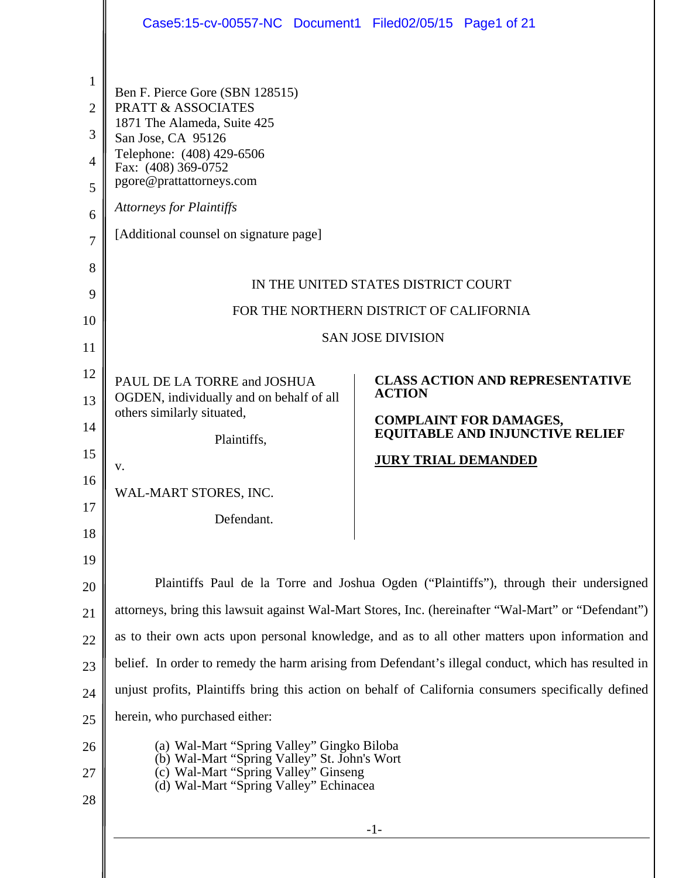|                                                                                  | Case5:15-cv-00557-NC Document1 Filed02/05/15 Page1 of 21                                                                                                                                                                                                                           |                                                                                                     |
|----------------------------------------------------------------------------------|------------------------------------------------------------------------------------------------------------------------------------------------------------------------------------------------------------------------------------------------------------------------------------|-----------------------------------------------------------------------------------------------------|
| 1<br>$\overline{2}$<br>3<br>$\overline{4}$<br>5<br>6<br>$\overline{7}$<br>8<br>9 | Ben F. Pierce Gore (SBN 128515)<br><b>PRATT &amp; ASSOCIATES</b><br>1871 The Alameda, Suite 425<br>San Jose, CA 95126<br>Telephone: (408) 429-6506<br>Fax: (408) 369-0752<br>pgore@prattattorneys.com<br><b>Attorneys for Plaintiffs</b><br>[Additional counsel on signature page] | IN THE UNITED STATES DISTRICT COURT                                                                 |
| 10                                                                               |                                                                                                                                                                                                                                                                                    | FOR THE NORTHERN DISTRICT OF CALIFORNIA                                                             |
| 11                                                                               |                                                                                                                                                                                                                                                                                    | <b>SAN JOSE DIVISION</b>                                                                            |
| 12                                                                               | PAUL DE LA TORRE and JOSHUA                                                                                                                                                                                                                                                        | <b>CLASS ACTION AND REPRESENTATIVE</b>                                                              |
| 13                                                                               | OGDEN, individually and on behalf of all                                                                                                                                                                                                                                           | <b>ACTION</b>                                                                                       |
| 14                                                                               | others similarly situated,                                                                                                                                                                                                                                                         | <b>COMPLAINT FOR DAMAGES,</b><br><b>EQUITABLE AND INJUNCTIVE RELIEF</b>                             |
| 15                                                                               | Plaintiffs,                                                                                                                                                                                                                                                                        | <b>JURY TRIAL DEMANDED</b>                                                                          |
| 16                                                                               | V.                                                                                                                                                                                                                                                                                 |                                                                                                     |
| 17                                                                               | WAL-MART STORES, INC.                                                                                                                                                                                                                                                              |                                                                                                     |
| 18                                                                               | Defendant.                                                                                                                                                                                                                                                                         |                                                                                                     |
| 19                                                                               |                                                                                                                                                                                                                                                                                    |                                                                                                     |
| 20                                                                               |                                                                                                                                                                                                                                                                                    | Plaintiffs Paul de la Torre and Joshua Ogden ("Plaintiffs"), through their undersigned              |
| 21                                                                               |                                                                                                                                                                                                                                                                                    | attorneys, bring this lawsuit against Wal-Mart Stores, Inc. (hereinafter "Wal-Mart" or "Defendant") |
| 22                                                                               |                                                                                                                                                                                                                                                                                    | as to their own acts upon personal knowledge, and as to all other matters upon information and      |
| 23                                                                               |                                                                                                                                                                                                                                                                                    | belief. In order to remedy the harm arising from Defendant's illegal conduct, which has resulted in |
| 24                                                                               |                                                                                                                                                                                                                                                                                    | unjust profits, Plaintiffs bring this action on behalf of California consumers specifically defined |
| 25                                                                               | herein, who purchased either:                                                                                                                                                                                                                                                      |                                                                                                     |
| 26                                                                               | (a) Wal-Mart "Spring Valley" Gingko Biloba                                                                                                                                                                                                                                         |                                                                                                     |
| 27                                                                               | (b) Wal-Mart "Spring Valley" St. John's Wort<br>(c) Wal-Mart "Spring Valley" Ginseng                                                                                                                                                                                               |                                                                                                     |
| 28                                                                               | (d) Wal-Mart "Spring Valley" Echinacea                                                                                                                                                                                                                                             |                                                                                                     |
|                                                                                  |                                                                                                                                                                                                                                                                                    | $-1-$                                                                                               |
|                                                                                  |                                                                                                                                                                                                                                                                                    |                                                                                                     |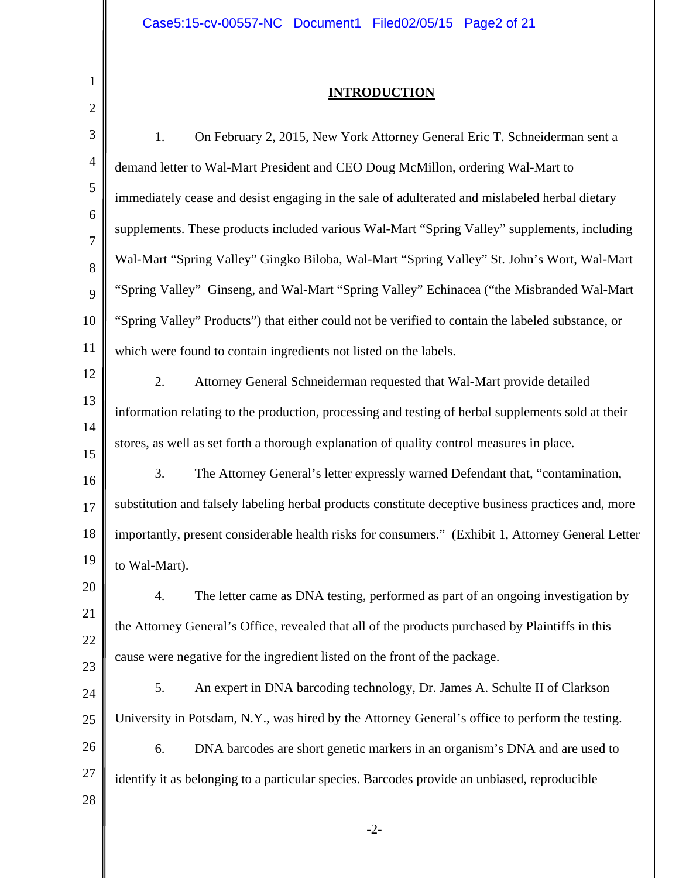1

║

### **INTRODUCTION**

| 1.<br>On February 2, 2015, New York Attorney General Eric T. Schneiderman sent a<br>demand letter to Wal-Mart President and CEO Doug McMillon, ordering Wal-Mart to<br>immediately cease and desist engaging in the sale of adulterated and mislabeled herbal dietary<br>supplements. These products included various Wal-Mart "Spring Valley" supplements, including<br>Wal-Mart "Spring Valley" Gingko Biloba, Wal-Mart "Spring Valley" St. John's Wort, Wal-Mart<br>"Spring Valley" Ginseng, and Wal-Mart "Spring Valley" Echinacea ("the Misbranded Wal-Mart<br>"Spring Valley" Products") that either could not be verified to contain the labeled substance, or<br>which were found to contain ingredients not listed on the labels.<br>2.<br>Attorney General Schneiderman requested that Wal-Mart provide detailed<br>information relating to the production, processing and testing of herbal supplements sold at their |
|----------------------------------------------------------------------------------------------------------------------------------------------------------------------------------------------------------------------------------------------------------------------------------------------------------------------------------------------------------------------------------------------------------------------------------------------------------------------------------------------------------------------------------------------------------------------------------------------------------------------------------------------------------------------------------------------------------------------------------------------------------------------------------------------------------------------------------------------------------------------------------------------------------------------------------|
|                                                                                                                                                                                                                                                                                                                                                                                                                                                                                                                                                                                                                                                                                                                                                                                                                                                                                                                                  |
|                                                                                                                                                                                                                                                                                                                                                                                                                                                                                                                                                                                                                                                                                                                                                                                                                                                                                                                                  |
|                                                                                                                                                                                                                                                                                                                                                                                                                                                                                                                                                                                                                                                                                                                                                                                                                                                                                                                                  |
|                                                                                                                                                                                                                                                                                                                                                                                                                                                                                                                                                                                                                                                                                                                                                                                                                                                                                                                                  |
|                                                                                                                                                                                                                                                                                                                                                                                                                                                                                                                                                                                                                                                                                                                                                                                                                                                                                                                                  |
|                                                                                                                                                                                                                                                                                                                                                                                                                                                                                                                                                                                                                                                                                                                                                                                                                                                                                                                                  |
|                                                                                                                                                                                                                                                                                                                                                                                                                                                                                                                                                                                                                                                                                                                                                                                                                                                                                                                                  |
|                                                                                                                                                                                                                                                                                                                                                                                                                                                                                                                                                                                                                                                                                                                                                                                                                                                                                                                                  |
|                                                                                                                                                                                                                                                                                                                                                                                                                                                                                                                                                                                                                                                                                                                                                                                                                                                                                                                                  |
|                                                                                                                                                                                                                                                                                                                                                                                                                                                                                                                                                                                                                                                                                                                                                                                                                                                                                                                                  |
| stores, as well as set forth a thorough explanation of quality control measures in place.                                                                                                                                                                                                                                                                                                                                                                                                                                                                                                                                                                                                                                                                                                                                                                                                                                        |
| 3.<br>The Attorney General's letter expressly warned Defendant that, "contamination,                                                                                                                                                                                                                                                                                                                                                                                                                                                                                                                                                                                                                                                                                                                                                                                                                                             |
| substitution and falsely labeling herbal products constitute deceptive business practices and, more                                                                                                                                                                                                                                                                                                                                                                                                                                                                                                                                                                                                                                                                                                                                                                                                                              |
| importantly, present considerable health risks for consumers." (Exhibit 1, Attorney General Letter                                                                                                                                                                                                                                                                                                                                                                                                                                                                                                                                                                                                                                                                                                                                                                                                                               |
| to Wal-Mart).                                                                                                                                                                                                                                                                                                                                                                                                                                                                                                                                                                                                                                                                                                                                                                                                                                                                                                                    |
| The letter came as DNA testing, performed as part of an ongoing investigation by                                                                                                                                                                                                                                                                                                                                                                                                                                                                                                                                                                                                                                                                                                                                                                                                                                                 |
| the Attorney General's Office, revealed that all of the products purchased by Plaintiffs in this                                                                                                                                                                                                                                                                                                                                                                                                                                                                                                                                                                                                                                                                                                                                                                                                                                 |
| cause were negative for the ingredient listed on the front of the package.                                                                                                                                                                                                                                                                                                                                                                                                                                                                                                                                                                                                                                                                                                                                                                                                                                                       |
| An expert in DNA barcoding technology, Dr. James A. Schulte II of Clarkson<br>5.                                                                                                                                                                                                                                                                                                                                                                                                                                                                                                                                                                                                                                                                                                                                                                                                                                                 |
| University in Potsdam, N.Y., was hired by the Attorney General's office to perform the testing.                                                                                                                                                                                                                                                                                                                                                                                                                                                                                                                                                                                                                                                                                                                                                                                                                                  |
| DNA barcodes are short genetic markers in an organism's DNA and are used to<br>6.                                                                                                                                                                                                                                                                                                                                                                                                                                                                                                                                                                                                                                                                                                                                                                                                                                                |
| identify it as belonging to a particular species. Barcodes provide an unbiased, reproducible                                                                                                                                                                                                                                                                                                                                                                                                                                                                                                                                                                                                                                                                                                                                                                                                                                     |
|                                                                                                                                                                                                                                                                                                                                                                                                                                                                                                                                                                                                                                                                                                                                                                                                                                                                                                                                  |
| $-2-$                                                                                                                                                                                                                                                                                                                                                                                                                                                                                                                                                                                                                                                                                                                                                                                                                                                                                                                            |
|                                                                                                                                                                                                                                                                                                                                                                                                                                                                                                                                                                                                                                                                                                                                                                                                                                                                                                                                  |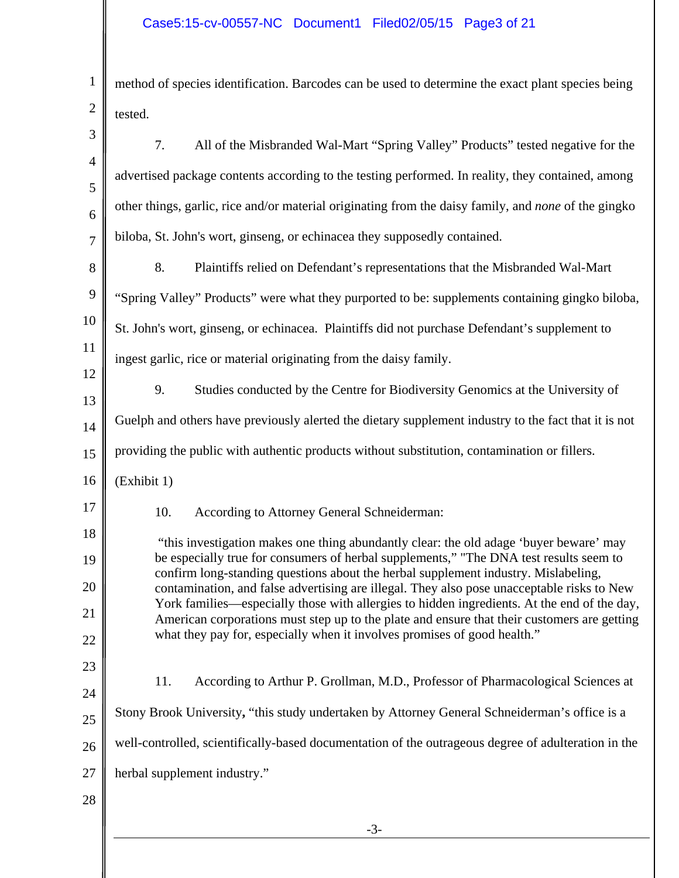| $\mathbf{1}$   | method of species identification. Barcodes can be used to determine the exact plant species being                                                                                          |
|----------------|--------------------------------------------------------------------------------------------------------------------------------------------------------------------------------------------|
| $\overline{2}$ | tested.                                                                                                                                                                                    |
| 3              | 7.<br>All of the Misbranded Wal-Mart "Spring Valley" Products" tested negative for the                                                                                                     |
| $\overline{4}$ | advertised package contents according to the testing performed. In reality, they contained, among                                                                                          |
| 5              |                                                                                                                                                                                            |
| 6              | other things, garlic, rice and/or material originating from the daisy family, and none of the gingko                                                                                       |
| $\overline{7}$ | biloba, St. John's wort, ginseng, or echinacea they supposedly contained.                                                                                                                  |
| 8              | 8.<br>Plaintiffs relied on Defendant's representations that the Misbranded Wal-Mart                                                                                                        |
| 9              | "Spring Valley" Products" were what they purported to be: supplements containing gingko biloba,                                                                                            |
| 10             | St. John's wort, ginseng, or echinacea. Plaintiffs did not purchase Defendant's supplement to                                                                                              |
| 11             | ingest garlic, rice or material originating from the daisy family.                                                                                                                         |
| 12             | 9.<br>Studies conducted by the Centre for Biodiversity Genomics at the University of                                                                                                       |
| 13             |                                                                                                                                                                                            |
| 14             | Guelph and others have previously alerted the dietary supplement industry to the fact that it is not                                                                                       |
| 15             | providing the public with authentic products without substitution, contamination or fillers.                                                                                               |
| 16             | (Exhibit 1)                                                                                                                                                                                |
| 17             | 10.<br>According to Attorney General Schneiderman:                                                                                                                                         |
| 18             | "this investigation makes one thing abundantly clear: the old adage 'buyer beware' may                                                                                                     |
| 19             | be especially true for consumers of herbal supplements," "The DNA test results seem to<br>confirm long-standing questions about the herbal supplement industry. Mislabeling,               |
| 20             | contamination, and false advertising are illegal. They also pose unacceptable risks to New                                                                                                 |
| 21             | York families—especially those with allergies to hidden ingredients. At the end of the day,<br>American corporations must step up to the plate and ensure that their customers are getting |
| 22             | what they pay for, especially when it involves promises of good health."                                                                                                                   |
| 23             |                                                                                                                                                                                            |
| 24             | 11.<br>According to Arthur P. Grollman, M.D., Professor of Pharmacological Sciences at                                                                                                     |
| 25             | Stony Brook University, "this study undertaken by Attorney General Schneiderman's office is a                                                                                              |
| 26             | well-controlled, scientifically-based documentation of the outrageous degree of adulteration in the                                                                                        |
| 27             | herbal supplement industry."                                                                                                                                                               |
| 28             |                                                                                                                                                                                            |
|                | $-3-$                                                                                                                                                                                      |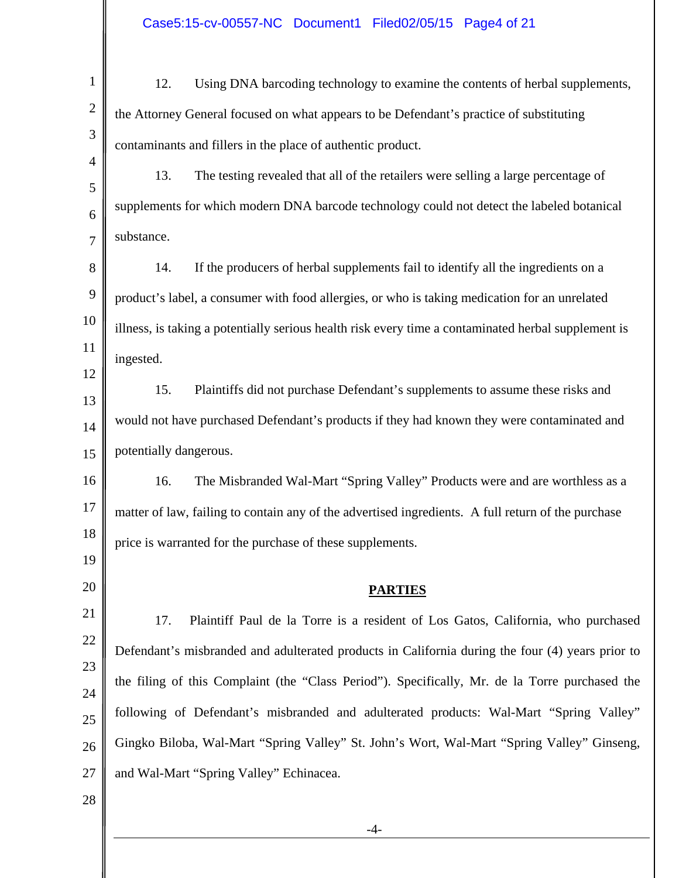| $\mathbf{1}$   | 12.<br>Using DNA barcoding technology to examine the contents of herbal supplements,                |
|----------------|-----------------------------------------------------------------------------------------------------|
| $\sqrt{2}$     | the Attorney General focused on what appears to be Defendant's practice of substituting             |
| 3              | contaminants and fillers in the place of authentic product.                                         |
| $\overline{4}$ | 13.<br>The testing revealed that all of the retailers were selling a large percentage of            |
| 5<br>6         | supplements for which modern DNA barcode technology could not detect the labeled botanical          |
| $\overline{7}$ | substance.                                                                                          |
| 8              | 14.<br>If the producers of herbal supplements fail to identify all the ingredients on a             |
| 9              | product's label, a consumer with food allergies, or who is taking medication for an unrelated       |
| 10             | illness, is taking a potentially serious health risk every time a contaminated herbal supplement is |
| 11             | ingested.                                                                                           |
| 12             | 15.<br>Plaintiffs did not purchase Defendant's supplements to assume these risks and                |
| 13<br>14       | would not have purchased Defendant's products if they had known they were contaminated and          |
| 15             | potentially dangerous.                                                                              |
| 16             | 16.<br>The Misbranded Wal-Mart "Spring Valley" Products were and are worthless as a                 |
| 17             | matter of law, failing to contain any of the advertised ingredients. A full return of the purchase  |
| 18             | price is warranted for the purchase of these supplements.                                           |
| 19             |                                                                                                     |
| 20             | <b>PARTIES</b>                                                                                      |
| 21             | 17.<br>Plaintiff Paul de la Torre is a resident of Los Gatos, California, who purchased             |
| 22             | Defendant's misbranded and adulterated products in California during the four (4) years prior to    |
| 23             | the filing of this Complaint (the "Class Period"). Specifically, Mr. de la Torre purchased the      |
| 24<br>25       | following of Defendant's misbranded and adulterated products: Wal-Mart "Spring Valley"              |
| 26             | Gingko Biloba, Wal-Mart "Spring Valley" St. John's Wort, Wal-Mart "Spring Valley" Ginseng,          |
| 27             | and Wal-Mart "Spring Valley" Echinacea.                                                             |
| 28             |                                                                                                     |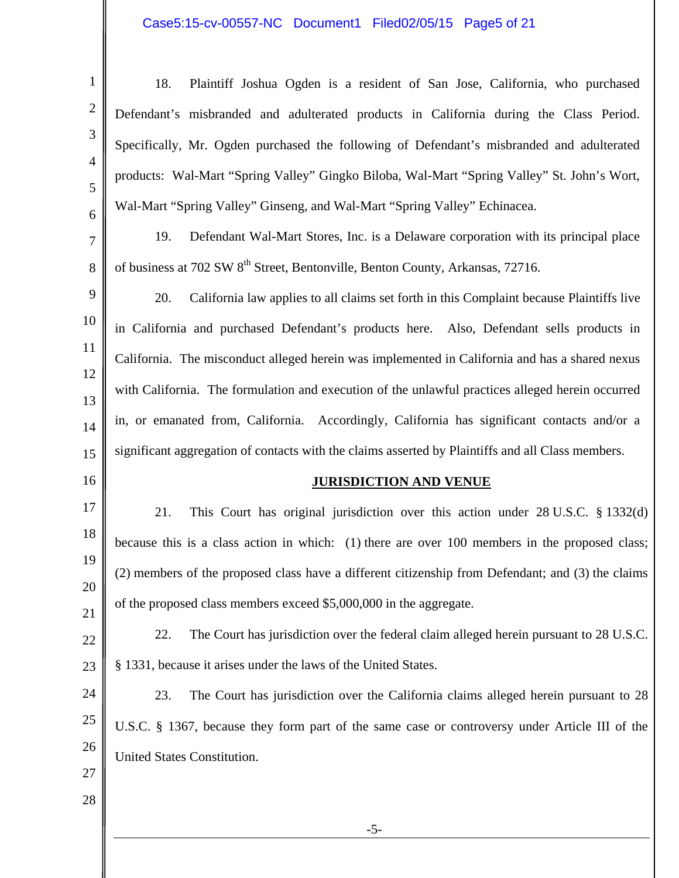## Case5:15-cv-00557-NC Document1 Filed02/05/15 Page5 of 21

| 1                   | 18.<br>Plaintiff Joshua Ogden is a resident of San Jose, California, who purchased                |
|---------------------|---------------------------------------------------------------------------------------------------|
| $\overline{2}$      | Defendant's misbranded and adulterated products in California during the Class Period.            |
| 3                   | Specifically, Mr. Ogden purchased the following of Defendant's misbranded and adulterated         |
| $\overline{4}$<br>5 | products: Wal-Mart "Spring Valley" Gingko Biloba, Wal-Mart "Spring Valley" St. John's Wort,       |
| 6                   | Wal-Mart "Spring Valley" Ginseng, and Wal-Mart "Spring Valley" Echinacea.                         |
| 7                   | 19.<br>Defendant Wal-Mart Stores, Inc. is a Delaware corporation with its principal place         |
| 8                   | of business at 702 SW 8 <sup>th</sup> Street, Bentonville, Benton County, Arkansas, 72716.        |
| 9                   | 20.<br>California law applies to all claims set forth in this Complaint because Plaintiffs live   |
| 10                  | in California and purchased Defendant's products here. Also, Defendant sells products in          |
| 11                  | California. The misconduct alleged herein was implemented in California and has a shared nexus    |
| 12<br>13            | with California. The formulation and execution of the unlawful practices alleged herein occurred  |
| 14                  | in, or emanated from, California. Accordingly, California has significant contacts and/or a       |
| 15                  | significant aggregation of contacts with the claims asserted by Plaintiffs and all Class members. |
| 16                  | <b>JURISDICTION AND VENUE</b>                                                                     |
| 17                  | This Court has original jurisdiction over this action under $28$ U.S.C. $\S$ 1332(d)<br>21.       |
| 18                  | because this is a class action in which: (1) there are over 100 members in the proposed class;    |
| 19                  | (2) members of the proposed class have a different citizenship from Defendant; and (3) the claims |
| 20<br>21            | of the proposed class members exceed \$5,000,000 in the aggregate.                                |
| 22                  | The Court has jurisdiction over the federal claim alleged herein pursuant to 28 U.S.C.<br>22.     |
| 23                  | § 1331, because it arises under the laws of the United States.                                    |
| 24                  | The Court has jurisdiction over the California claims alleged herein pursuant to 28<br>23.        |
| 25                  | U.S.C. § 1367, because they form part of the same case or controversy under Article III of the    |
| 26                  | United States Constitution.                                                                       |
| 27                  |                                                                                                   |
| 28                  |                                                                                                   |
|                     | $-5-$                                                                                             |
|                     |                                                                                                   |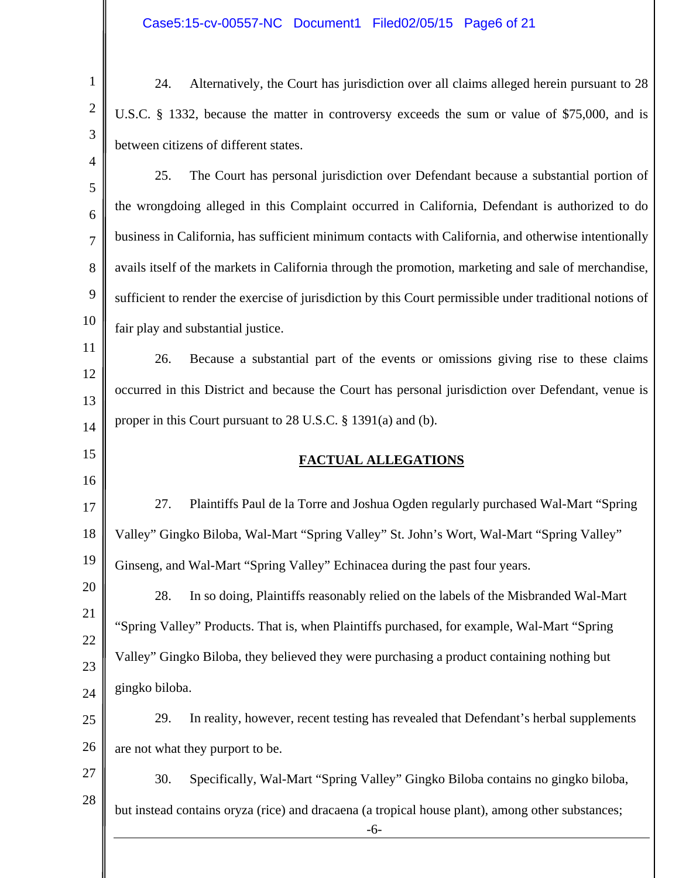1

2

3

4

15

16

24. Alternatively, the Court has jurisdiction over all claims alleged herein pursuant to 28 U.S.C. § 1332, because the matter in controversy exceeds the sum or value of \$75,000, and is between citizens of different states.

5 6 7 8 9 10 25. The Court has personal jurisdiction over Defendant because a substantial portion of the wrongdoing alleged in this Complaint occurred in California, Defendant is authorized to do business in California, has sufficient minimum contacts with California, and otherwise intentionally avails itself of the markets in California through the promotion, marketing and sale of merchandise, sufficient to render the exercise of jurisdiction by this Court permissible under traditional notions of fair play and substantial justice.

11 12 13 14 26. Because a substantial part of the events or omissions giving rise to these claims occurred in this District and because the Court has personal jurisdiction over Defendant, venue is proper in this Court pursuant to 28 U.S.C. § 1391(a) and (b).

### **FACTUAL ALLEGATIONS**

17 18 19 27. Plaintiffs Paul de la Torre and Joshua Ogden regularly purchased Wal-Mart "Spring Valley" Gingko Biloba, Wal-Mart "Spring Valley" St. John's Wort, Wal-Mart "Spring Valley" Ginseng, and Wal-Mart "Spring Valley" Echinacea during the past four years.

20 21 22 23 24 28. In so doing, Plaintiffs reasonably relied on the labels of the Misbranded Wal-Mart "Spring Valley" Products. That is, when Plaintiffs purchased, for example, Wal-Mart "Spring Valley" Gingko Biloba, they believed they were purchasing a product containing nothing but gingko biloba.

25 26 29. In reality, however, recent testing has revealed that Defendant's herbal supplements are not what they purport to be.

27 28 30. Specifically, Wal-Mart "Spring Valley" Gingko Biloba contains no gingko biloba, but instead contains oryza (rice) and dracaena (a tropical house plant), among other substances;

-6-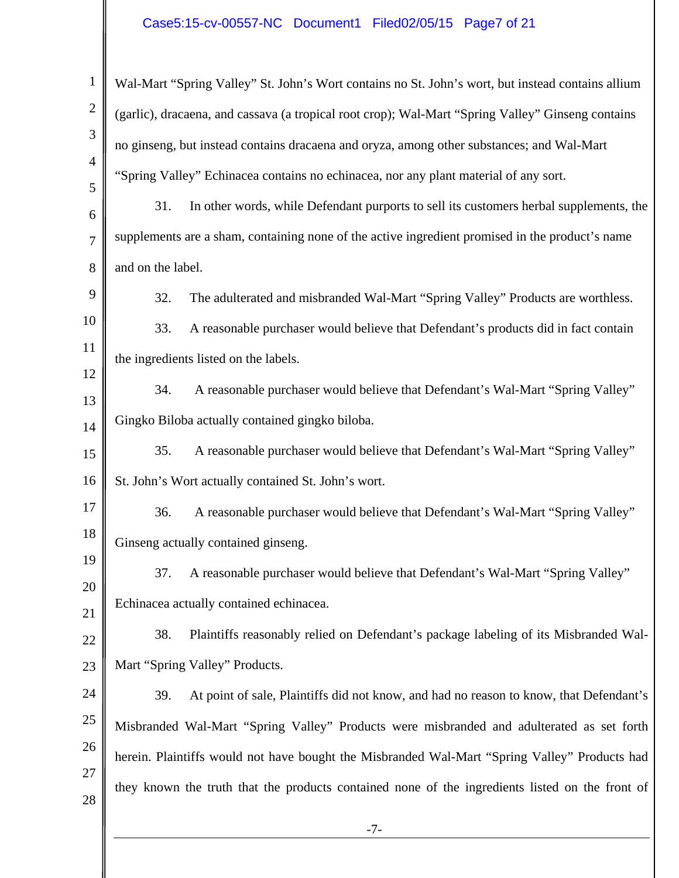### Case5:15-cv-00557-NC Document1 Filed02/05/15 Page7 of 21

| $\mathbf{1}$        | Wal-Mart "Spring Valley" St. John's Wort contains no St. John's wort, but instead contains allium |
|---------------------|---------------------------------------------------------------------------------------------------|
| $\mathbf{2}$        | (garlic), dracaena, and cassava (a tropical root crop); Wal-Mart "Spring Valley" Ginseng contains |
| 3                   | no ginseng, but instead contains dracaena and oryza, among other substances; and Wal-Mart         |
| $\overline{4}$<br>5 | "Spring Valley" Echinacea contains no echinacea, nor any plant material of any sort.              |
| 6                   | 31.<br>In other words, while Defendant purports to sell its customers herbal supplements, the     |
| 7                   | supplements are a sham, containing none of the active ingredient promised in the product's name   |
| 8                   | and on the label.                                                                                 |
| 9                   | 32.<br>The adulterated and misbranded Wal-Mart "Spring Valley" Products are worthless.            |
| 10                  | 33.<br>A reasonable purchaser would believe that Defendant's products did in fact contain         |
| 11                  | the ingredients listed on the labels.                                                             |
| 12<br>13            | A reasonable purchaser would believe that Defendant's Wal-Mart "Spring Valley"<br>34.             |
| 14                  | Gingko Biloba actually contained gingko biloba.                                                   |
| 15                  | A reasonable purchaser would believe that Defendant's Wal-Mart "Spring Valley"<br>35.             |
| 16                  | St. John's Wort actually contained St. John's wort.                                               |
| 17                  | 36.<br>A reasonable purchaser would believe that Defendant's Wal-Mart "Spring Valley"             |
| 18                  | Ginseng actually contained ginseng.                                                               |
| 19                  | A reasonable purchaser would believe that Defendant's Wal-Mart "Spring Valley"<br>37.             |
| 20                  | Echinacea actually contained echinacea.                                                           |
| 21<br>22            | 38.<br>Plaintiffs reasonably relied on Defendant's package labeling of its Misbranded Wal-        |
| 23                  | Mart "Spring Valley" Products.                                                                    |
| 24                  | At point of sale, Plaintiffs did not know, and had no reason to know, that Defendant's<br>39.     |
| 25                  | Misbranded Wal-Mart "Spring Valley" Products were misbranded and adulterated as set forth         |
| 26                  | herein. Plaintiffs would not have bought the Misbranded Wal-Mart "Spring Valley" Products had     |
| 27                  | they known the truth that the products contained none of the ingredients listed on the front of   |
| 28                  | $-7-$                                                                                             |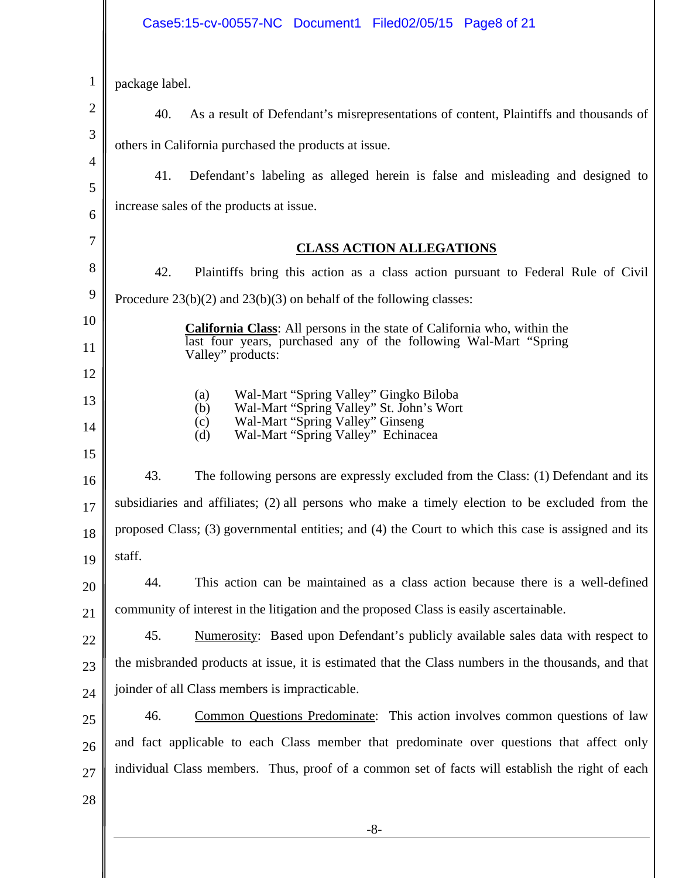## Case5:15-cv-00557-NC Document1 Filed02/05/15 Page8 of 21

| 1              | package label.                                                                                                                       |
|----------------|--------------------------------------------------------------------------------------------------------------------------------------|
| $\overline{2}$ | 40.<br>As a result of Defendant's misrepresentations of content, Plaintiffs and thousands of                                         |
| 3              | others in California purchased the products at issue.                                                                                |
| 4              | 41.<br>Defendant's labeling as alleged herein is false and misleading and designed to                                                |
| 5              | increase sales of the products at issue.                                                                                             |
| 6              |                                                                                                                                      |
| 7              | <b>CLASS ACTION ALLEGATIONS</b>                                                                                                      |
| 8              | 42.<br>Plaintiffs bring this action as a class action pursuant to Federal Rule of Civil                                              |
| 9              | Procedure $23(b)(2)$ and $23(b)(3)$ on behalf of the following classes:                                                              |
| 10             | <b>California Class:</b> All persons in the state of California who, within the                                                      |
| 11             | last four years, purchased any of the following Wal-Mart "Spring"<br>Valley" products:                                               |
| 12             |                                                                                                                                      |
| 13             | Wal-Mart "Spring Valley" Gingko Biloba<br>(a)<br>Wal-Mart "Spring Valley" St. John's Wort<br>(b)<br>Wal-Mart "Spring Valley" Ginseng |
| 14             | (c)<br>Wal-Mart "Spring Valley" Echinacea<br>(d)                                                                                     |
| 15             |                                                                                                                                      |
| 16             | 43.<br>The following persons are expressly excluded from the Class: (1) Defendant and its                                            |
| 17             | subsidiaries and affiliates; (2) all persons who make a timely election to be excluded from the                                      |
| 18             | proposed Class; (3) governmental entities; and (4) the Court to which this case is assigned and its                                  |
| 19             | staff.                                                                                                                               |
| 20             | This action can be maintained as a class action because there is a well-defined<br>44.                                               |
| 21             | community of interest in the litigation and the proposed Class is easily ascertainable.                                              |
| 22             | 45.<br>Numerosity: Based upon Defendant's publicly available sales data with respect to                                              |
| 23             | the misbranded products at issue, it is estimated that the Class numbers in the thousands, and that                                  |
| 24             | joinder of all Class members is impracticable.                                                                                       |
| 25             | Common Questions Predominate: This action involves common questions of law<br>46.                                                    |
| 26             | and fact applicable to each Class member that predominate over questions that affect only                                            |
| 27             | individual Class members. Thus, proof of a common set of facts will establish the right of each                                      |
| 28             |                                                                                                                                      |
|                | $-8-$                                                                                                                                |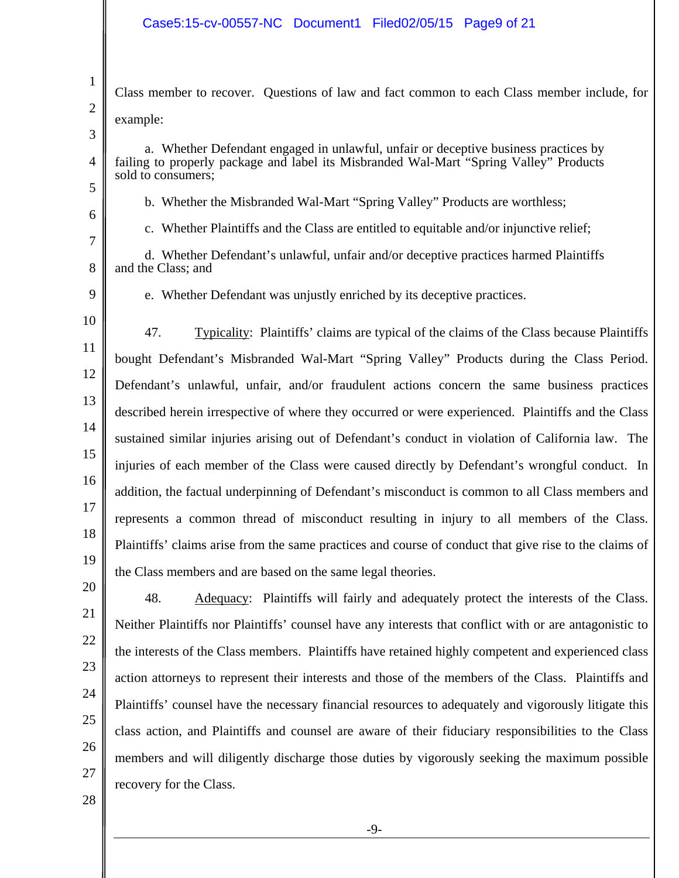Class member to recover. Questions of law and fact common to each Class member include, for example:

3

4

5

6

7

1

2

a. Whether Defendant engaged in unlawful, unfair or deceptive business practices by failing to properly package and label its Misbranded Wal-Mart "Spring Valley" Products sold to consumers;

- b. Whether the Misbranded Wal-Mart "Spring Valley" Products are worthless;
- c. Whether Plaintiffs and the Class are entitled to equitable and/or injunctive relief;

8 d. Whether Defendant's unlawful, unfair and/or deceptive practices harmed Plaintiffs and the Class; and

9

e. Whether Defendant was unjustly enriched by its deceptive practices.

10 11 12 13 14 15 16 17 18 19 47. Typicality: Plaintiffs' claims are typical of the claims of the Class because Plaintiffs bought Defendant's Misbranded Wal-Mart "Spring Valley" Products during the Class Period. Defendant's unlawful, unfair, and/or fraudulent actions concern the same business practices described herein irrespective of where they occurred or were experienced. Plaintiffs and the Class sustained similar injuries arising out of Defendant's conduct in violation of California law. The injuries of each member of the Class were caused directly by Defendant's wrongful conduct. In addition, the factual underpinning of Defendant's misconduct is common to all Class members and represents a common thread of misconduct resulting in injury to all members of the Class. Plaintiffs' claims arise from the same practices and course of conduct that give rise to the claims of the Class members and are based on the same legal theories.

Neither Plaintiffs nor Plaintiffs' counsel have any interests that conflict with or are antagonistic to the interests of the Class members. Plaintiffs have retained highly competent and experienced class action attorneys to represent their interests and those of the members of the Class. Plaintiffs and Plaintiffs' counsel have the necessary financial resources to adequately and vigorously litigate this class action, and Plaintiffs and counsel are aware of their fiduciary responsibilities to the Class members and will diligently discharge those duties by vigorously seeking the maximum possible recovery for the Class.

48. Adequacy: Plaintiffs will fairly and adequately protect the interests of the Class.

28

27

26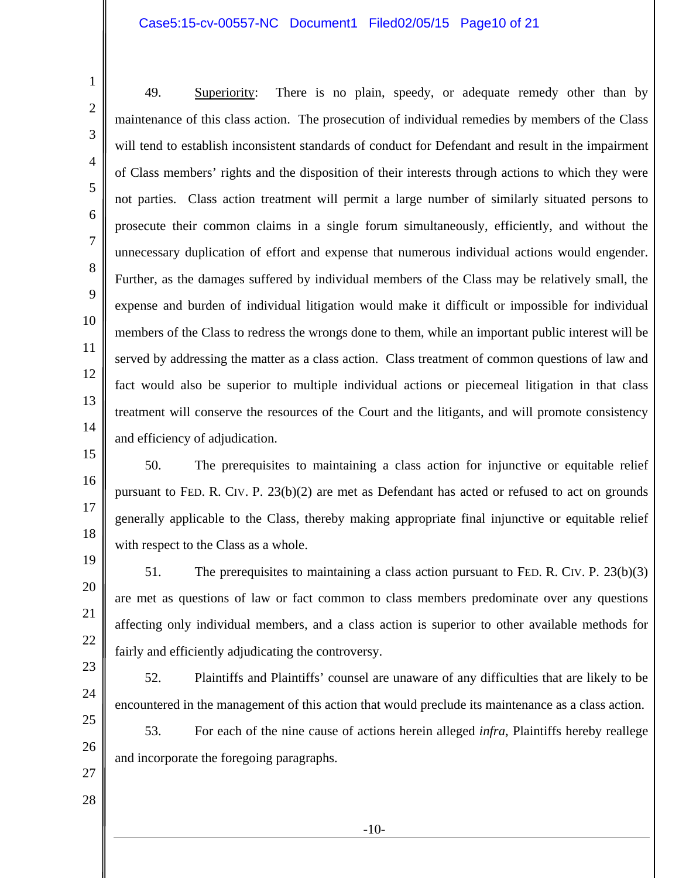#### Case5:15-cv-00557-NC Document1 Filed02/05/15 Page10 of 21

49. Superiority: There is no plain, speedy, or adequate remedy other than by maintenance of this class action. The prosecution of individual remedies by members of the Class will tend to establish inconsistent standards of conduct for Defendant and result in the impairment of Class members' rights and the disposition of their interests through actions to which they were not parties. Class action treatment will permit a large number of similarly situated persons to prosecute their common claims in a single forum simultaneously, efficiently, and without the unnecessary duplication of effort and expense that numerous individual actions would engender. Further, as the damages suffered by individual members of the Class may be relatively small, the expense and burden of individual litigation would make it difficult or impossible for individual members of the Class to redress the wrongs done to them, while an important public interest will be served by addressing the matter as a class action. Class treatment of common questions of law and fact would also be superior to multiple individual actions or piecemeal litigation in that class treatment will conserve the resources of the Court and the litigants, and will promote consistency and efficiency of adjudication.

50. The prerequisites to maintaining a class action for injunctive or equitable relief pursuant to FED. R. CIV. P. 23(b)(2) are met as Defendant has acted or refused to act on grounds generally applicable to the Class, thereby making appropriate final injunctive or equitable relief with respect to the Class as a whole.

51. The prerequisites to maintaining a class action pursuant to FED. R. CIV. P. 23(b)(3) are met as questions of law or fact common to class members predominate over any questions affecting only individual members, and a class action is superior to other available methods for fairly and efficiently adjudicating the controversy.

52. Plaintiffs and Plaintiffs' counsel are unaware of any difficulties that are likely to be encountered in the management of this action that would preclude its maintenance as a class action.

53. For each of the nine cause of actions herein alleged *infra*, Plaintiffs hereby reallege and incorporate the foregoing paragraphs.

27 28

24

25

26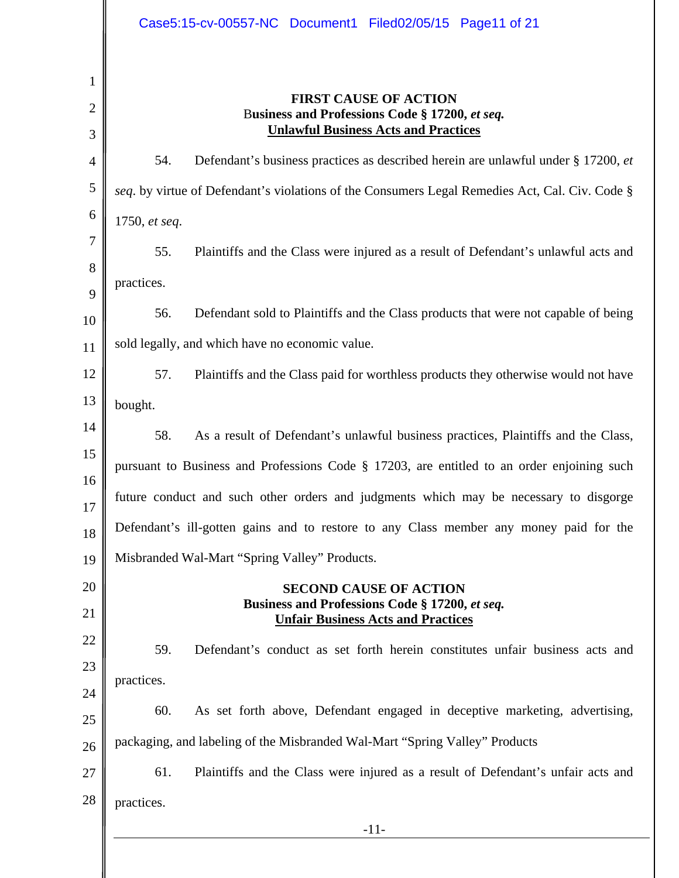|                | Case5:15-cv-00557-NC Document1 Filed02/05/15 Page11 of 21                                      |
|----------------|------------------------------------------------------------------------------------------------|
| 1              |                                                                                                |
| $\overline{2}$ | <b>FIRST CAUSE OF ACTION</b><br>Business and Professions Code § 17200, et seq.                 |
| 3              | <b>Unlawful Business Acts and Practices</b>                                                    |
| 4              | Defendant's business practices as described herein are unlawful under § 17200, et<br>54.       |
| 5              | seq. by virtue of Defendant's violations of the Consumers Legal Remedies Act, Cal. Civ. Code § |
| 6              | 1750, et seq.                                                                                  |
| 7              | 55.<br>Plaintiffs and the Class were injured as a result of Defendant's unlawful acts and      |
| 8              | practices.                                                                                     |
| 9              | Defendant sold to Plaintiffs and the Class products that were not capable of being<br>56.      |
| 10             | sold legally, and which have no economic value.                                                |
| 11             |                                                                                                |
| 12<br>13       | Plaintiffs and the Class paid for worthless products they otherwise would not have<br>57.      |
| 14             | bought.                                                                                        |
| 15             | 58.<br>As a result of Defendant's unlawful business practices, Plaintiffs and the Class,       |
| 16             | pursuant to Business and Professions Code § 17203, are entitled to an order enjoining such     |
| 17             | future conduct and such other orders and judgments which may be necessary to disgorge          |
| 18             | Defendant's ill-gotten gains and to restore to any Class member any money paid for the         |
| 19             | Misbranded Wal-Mart "Spring Valley" Products.                                                  |
| 20             | <b>SECOND CAUSE OF ACTION</b>                                                                  |
| 21             | Business and Professions Code § 17200, et seq.<br><b>Unfair Business Acts and Practices</b>    |
| 22             | 59.<br>Defendant's conduct as set forth herein constitutes unfair business acts and            |
| 23             | practices.                                                                                     |
| 24             | 60.<br>As set forth above, Defendant engaged in deceptive marketing, advertising,              |
| 25             |                                                                                                |
| 26             | packaging, and labeling of the Misbranded Wal-Mart "Spring Valley" Products                    |
| 27             | 61.<br>Plaintiffs and the Class were injured as a result of Defendant's unfair acts and        |
| 28             | practices.                                                                                     |
|                | $-11-$                                                                                         |
|                |                                                                                                |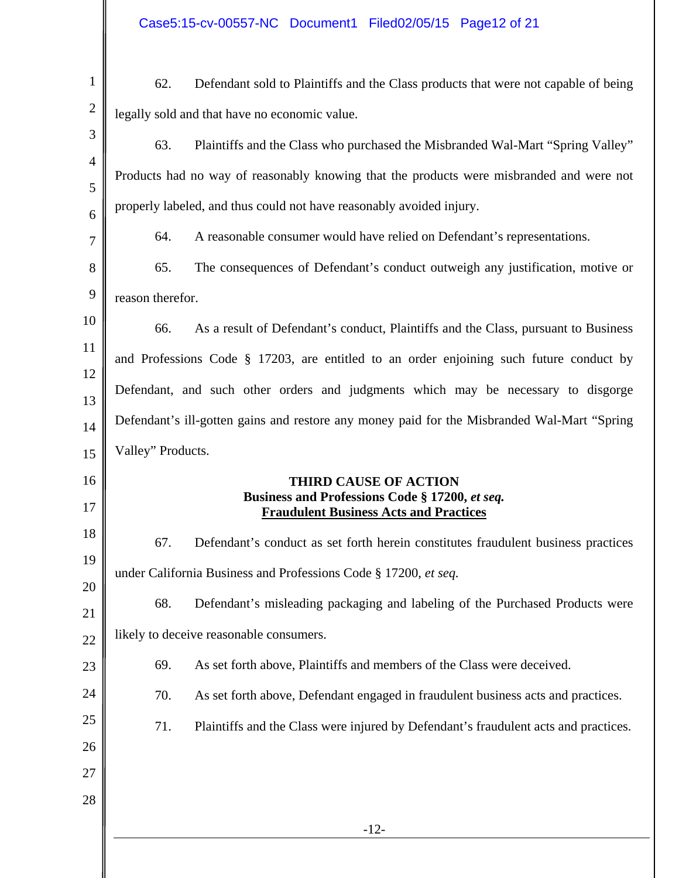| $\mathbf{1}$   | 62.               | Defendant sold to Plaintiffs and the Class products that were not capable of being              |
|----------------|-------------------|-------------------------------------------------------------------------------------------------|
| $\overline{2}$ |                   | legally sold and that have no economic value.                                                   |
| 3              | 63.               | Plaintiffs and the Class who purchased the Misbranded Wal-Mart "Spring Valley"                  |
| $\overline{4}$ |                   | Products had no way of reasonably knowing that the products were misbranded and were not        |
| 5              |                   | properly labeled, and thus could not have reasonably avoided injury.                            |
| 6<br>7         | 64.               | A reasonable consumer would have relied on Defendant's representations.                         |
| 8              | 65.               | The consequences of Defendant's conduct outweigh any justification, motive or                   |
| 9              | reason therefor.  |                                                                                                 |
| 10             |                   |                                                                                                 |
| 11             | 66.               | As a result of Defendant's conduct, Plaintiffs and the Class, pursuant to Business              |
| 12             |                   | and Professions Code $\S$ 17203, are entitled to an order enjoining such future conduct by      |
| 13             |                   | Defendant, and such other orders and judgments which may be necessary to disgorge               |
| 14             |                   | Defendant's ill-gotten gains and restore any money paid for the Misbranded Wal-Mart "Spring     |
| 15             | Valley" Products. |                                                                                                 |
| 16             |                   | <b>THIRD CAUSE OF ACTION</b>                                                                    |
| 17             |                   | Business and Professions Code § 17200, et seq.<br><b>Fraudulent Business Acts and Practices</b> |
| 18             | 67.               | Defendant's conduct as set forth herein constitutes fraudulent business practices               |
| 19             |                   | under California Business and Professions Code § 17200, et seq.                                 |
| 20             | 68.               | Defendant's misleading packaging and labeling of the Purchased Products were                    |
| 21             |                   | likely to deceive reasonable consumers.                                                         |
| 22             |                   |                                                                                                 |
| 23             | 69.               | As set forth above, Plaintiffs and members of the Class were deceived.                          |
| 24             | 70.               | As set forth above, Defendant engaged in fraudulent business acts and practices.                |
| 25<br>26       | 71.               | Plaintiffs and the Class were injured by Defendant's fraudulent acts and practices.             |
| 27             |                   |                                                                                                 |
| 28             |                   |                                                                                                 |
|                |                   | $-12-$                                                                                          |
|                |                   |                                                                                                 |
|                |                   |                                                                                                 |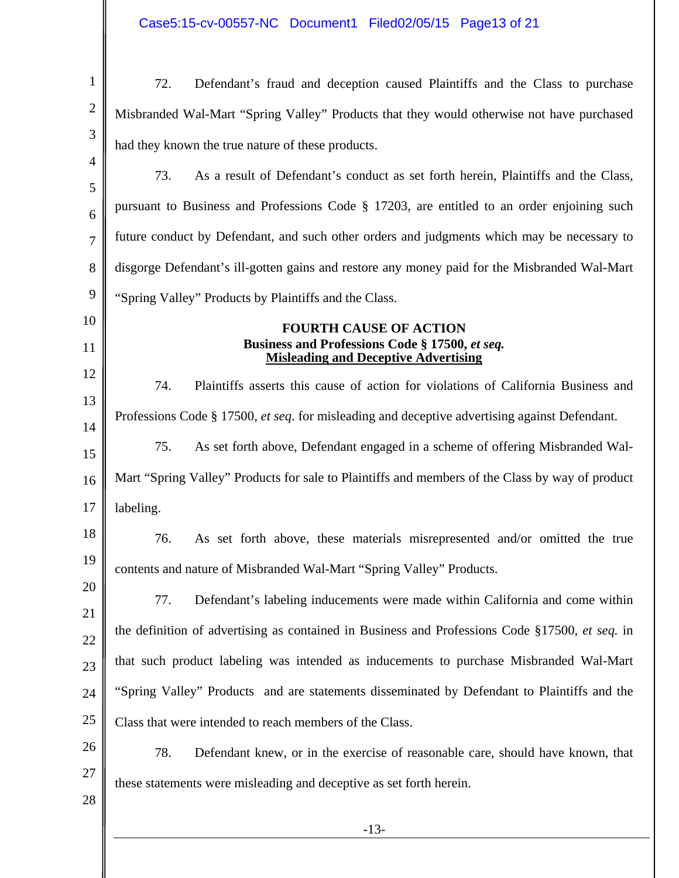Case5:15-cv-00557-NC Document1 Filed02/05/15 Page13 of 21

| $\mathbf{1}$   | 72.<br>Defendant's fraud and deception caused Plaintiffs and the Class to purchase                   |
|----------------|------------------------------------------------------------------------------------------------------|
| $\overline{2}$ | Misbranded Wal-Mart "Spring Valley" Products that they would otherwise not have purchased            |
| 3              | had they known the true nature of these products.                                                    |
| $\overline{4}$ | 73.<br>As a result of Defendant's conduct as set forth herein, Plaintiffs and the Class,             |
| 5<br>6         | pursuant to Business and Professions Code § 17203, are entitled to an order enjoining such           |
| 7              | future conduct by Defendant, and such other orders and judgments which may be necessary to           |
| 8              | disgorge Defendant's ill-gotten gains and restore any money paid for the Misbranded Wal-Mart         |
| 9              | "Spring Valley" Products by Plaintiffs and the Class.                                                |
| 10             | <b>FOURTH CAUSE OF ACTION</b>                                                                        |
| 11             | Business and Professions Code § 17500, et seq.<br><b>Misleading and Deceptive Advertising</b>        |
| 12             | 74.<br>Plaintiffs asserts this cause of action for violations of California Business and             |
| 13<br>14       | Professions Code § 17500, <i>et seq.</i> for misleading and deceptive advertising against Defendant. |
| 15             | As set forth above, Defendant engaged in a scheme of offering Misbranded Wal-<br>75.                 |
| 16             | Mart "Spring Valley" Products for sale to Plaintiffs and members of the Class by way of product      |
| 17             | labeling.                                                                                            |
| 18             | 76.<br>As set forth above, these materials misrepresented and/or omitted the true                    |
| 19             | contents and nature of Misbranded Wal-Mart "Spring Valley" Products.                                 |
| 20             | Defendant's labeling inducements were made within California and come within<br>77.                  |
| 21<br>22       | the definition of advertising as contained in Business and Professions Code §17500, et seq. in       |
| 23             | that such product labeling was intended as inducements to purchase Misbranded Wal-Mart               |
| 24             | "Spring Valley" Products and are statements disseminated by Defendant to Plaintiffs and the          |
| 25             | Class that were intended to reach members of the Class.                                              |
| 26             | 78.<br>Defendant knew, or in the exercise of reasonable care, should have known, that                |
| 27             | these statements were misleading and deceptive as set forth herein.                                  |
| 28             |                                                                                                      |
|                | $-13-$                                                                                               |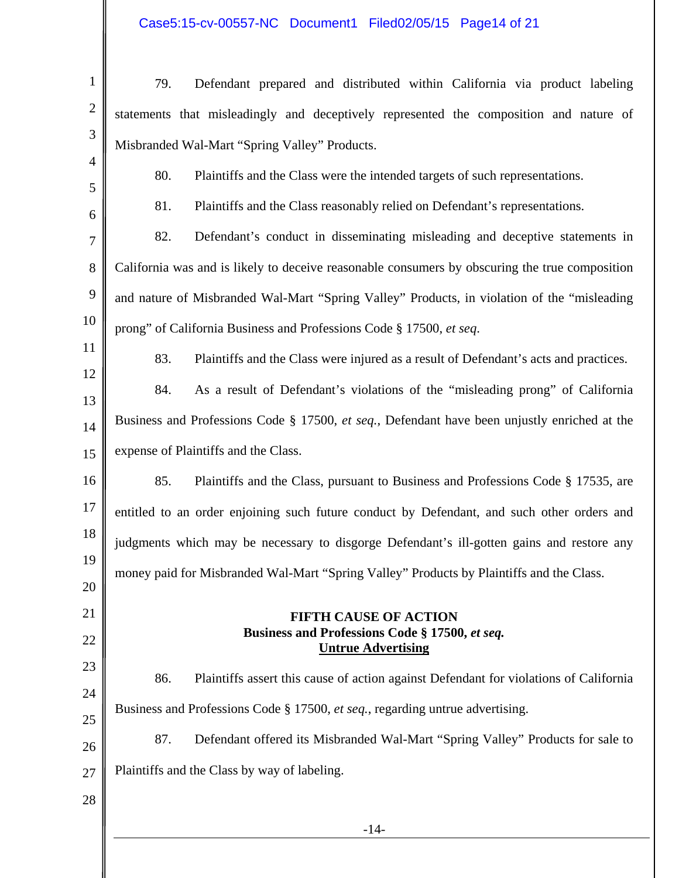# Case5:15-cv-00557-NC Document1 Filed02/05/15 Page14 of 21

| $\mathbf{1}$   | 79.<br>Defendant prepared and distributed within California via product labeling               |
|----------------|------------------------------------------------------------------------------------------------|
| $\mathbf{2}$   | statements that misleadingly and deceptively represented the composition and nature of         |
| $\mathfrak{Z}$ | Misbranded Wal-Mart "Spring Valley" Products.                                                  |
| $\overline{4}$ | 80.<br>Plaintiffs and the Class were the intended targets of such representations.             |
| 5<br>6         | 81.<br>Plaintiffs and the Class reasonably relied on Defendant's representations.              |
| 7              | 82.<br>Defendant's conduct in disseminating misleading and deceptive statements in             |
| 8              | California was and is likely to deceive reasonable consumers by obscuring the true composition |
| 9              | and nature of Misbranded Wal-Mart "Spring Valley" Products, in violation of the "misleading    |
| 10             | prong" of California Business and Professions Code § 17500, et seq.                            |
| 11             | Plaintiffs and the Class were injured as a result of Defendant's acts and practices.<br>83.    |
| 12             | 84.<br>As a result of Defendant's violations of the "misleading prong" of California           |
| 13             | Business and Professions Code § 17500, et seq., Defendant have been unjustly enriched at the   |
| 14             | expense of Plaintiffs and the Class.                                                           |
| 15             |                                                                                                |
| 16             | 85.<br>Plaintiffs and the Class, pursuant to Business and Professions Code § 17535, are        |
| 17<br>18       | entitled to an order enjoining such future conduct by Defendant, and such other orders and     |
| 19             | judgments which may be necessary to disgorge Defendant's ill-gotten gains and restore any      |
| 20             | money paid for Misbranded Wal-Mart "Spring Valley" Products by Plaintiffs and the Class.       |
| 21             | <b>FIFTH CAUSE OF ACTION</b>                                                                   |
| 22             | Business and Professions Code § 17500, et seq.<br><b>Untrue Advertising</b>                    |
| 23             | 86.<br>Plaintiffs assert this cause of action against Defendant for violations of California   |
| 24             | Business and Professions Code § 17500, et seq., regarding untrue advertising.                  |
| 25             | 87.<br>Defendant offered its Misbranded Wal-Mart "Spring Valley" Products for sale to          |
| 26             |                                                                                                |
| 27             | Plaintiffs and the Class by way of labeling.                                                   |
| 28             |                                                                                                |
|                | $-14-$                                                                                         |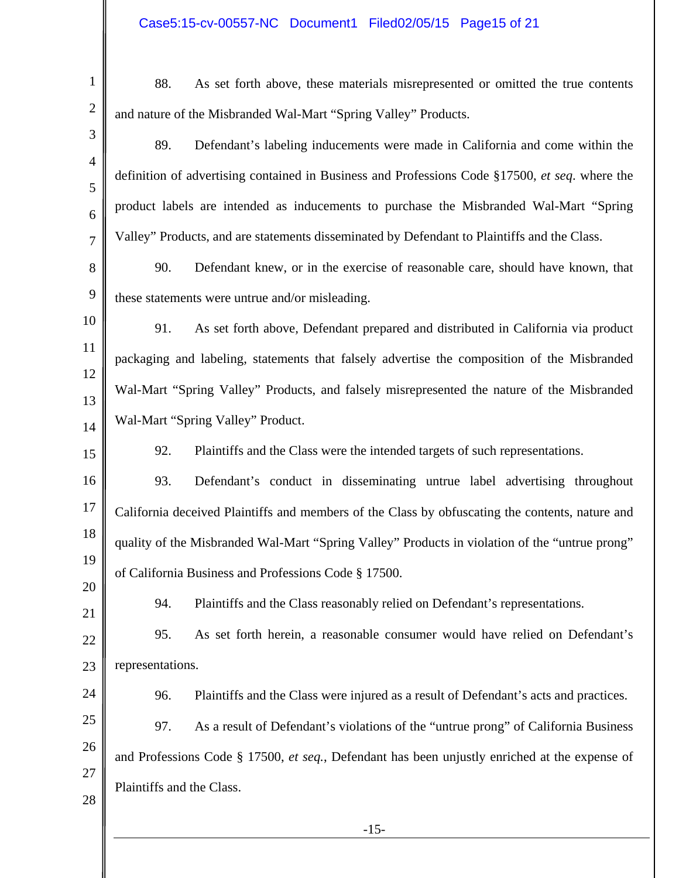| $\mathbf{1}$        | As set forth above, these materials misrepresented or omitted the true contents<br>88.          |
|---------------------|-------------------------------------------------------------------------------------------------|
| $\overline{2}$      | and nature of the Misbranded Wal-Mart "Spring Valley" Products.                                 |
| 3                   | 89.<br>Defendant's labeling inducements were made in California and come within the             |
| $\overline{4}$<br>5 | definition of advertising contained in Business and Professions Code §17500, et seq. where the  |
| 6                   | product labels are intended as inducements to purchase the Misbranded Wal-Mart "Spring          |
| $\overline{7}$      | Valley" Products, and are statements disseminated by Defendant to Plaintiffs and the Class.     |
| 8                   | 90.<br>Defendant knew, or in the exercise of reasonable care, should have known, that           |
| 9                   | these statements were untrue and/or misleading.                                                 |
| 10                  | As set forth above, Defendant prepared and distributed in California via product<br>91.         |
| 11                  | packaging and labeling, statements that falsely advertise the composition of the Misbranded     |
| 12<br>13            | Wal-Mart "Spring Valley" Products, and falsely misrepresented the nature of the Misbranded      |
| 14                  | Wal-Mart "Spring Valley" Product.                                                               |
| 15                  | Plaintiffs and the Class were the intended targets of such representations.<br>92.              |
| 16                  | 93.<br>Defendant's conduct in disseminating untrue label advertising throughout                 |
| 17                  | California deceived Plaintiffs and members of the Class by obfuscating the contents, nature and |
| 18                  | quality of the Misbranded Wal-Mart "Spring Valley" Products in violation of the "untrue prong"  |
| 19<br>20            | of California Business and Professions Code § 17500.                                            |
| 21                  | Plaintiffs and the Class reasonably relied on Defendant's representations.<br>94.               |
| 22                  | 95.<br>As set forth herein, a reasonable consumer would have relied on Defendant's              |
| 23                  | representations.                                                                                |
| 24                  | Plaintiffs and the Class were injured as a result of Defendant's acts and practices.<br>96.     |
| 25                  | As a result of Defendant's violations of the "untrue prong" of California Business<br>97.       |
| 26                  | and Professions Code § 17500, et seq., Defendant has been unjustly enriched at the expense of   |
| 27<br>28            | Plaintiffs and the Class.                                                                       |
|                     | $-15-$                                                                                          |
|                     |                                                                                                 |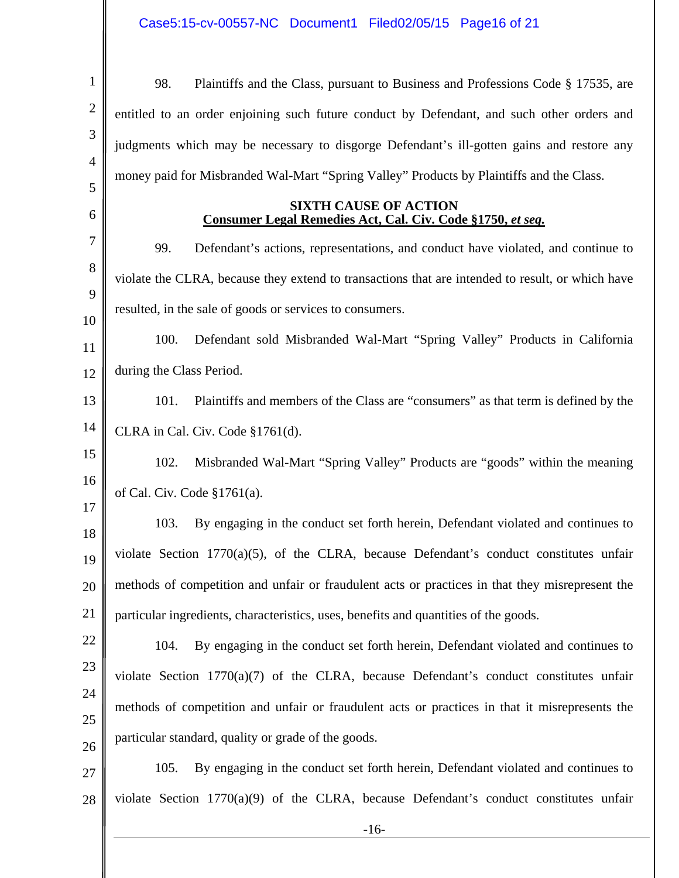| $\mathbf{1}$   | 98.<br>Plaintiffs and the Class, pursuant to Business and Professions Code § 17535, are          |  |
|----------------|--------------------------------------------------------------------------------------------------|--|
| $\overline{2}$ | entitled to an order enjoining such future conduct by Defendant, and such other orders and       |  |
| 3              | judgments which may be necessary to disgorge Defendant's ill-gotten gains and restore any        |  |
| $\overline{4}$ | money paid for Misbranded Wal-Mart "Spring Valley" Products by Plaintiffs and the Class.         |  |
| 5<br>6         | <b>SIXTH CAUSE OF ACTION</b>                                                                     |  |
| 7              | Consumer Legal Remedies Act, Cal. Civ. Code §1750, et seq.                                       |  |
| 8              | 99.<br>Defendant's actions, representations, and conduct have violated, and continue to          |  |
| 9              | violate the CLRA, because they extend to transactions that are intended to result, or which have |  |
| 10             | resulted, in the sale of goods or services to consumers.                                         |  |
| 11             | 100.<br>Defendant sold Misbranded Wal-Mart "Spring Valley" Products in California                |  |
| 12             | during the Class Period.                                                                         |  |
| 13             | Plaintiffs and members of the Class are "consumers" as that term is defined by the<br>101.       |  |
| 14             | CLRA in Cal. Civ. Code §1761(d).                                                                 |  |
| 15             | Misbranded Wal-Mart "Spring Valley" Products are "goods" within the meaning<br>102.              |  |
| 16             | of Cal. Civ. Code $§1761(a)$ .                                                                   |  |
| 17<br>18       | By engaging in the conduct set forth herein, Defendant violated and continues to<br>103.         |  |
| 19             | violate Section $1770(a)(5)$ , of the CLRA, because Defendant's conduct constitutes unfair       |  |
| 20             | methods of competition and unfair or fraudulent acts or practices in that they misrepresent the  |  |
| 21             | particular ingredients, characteristics, uses, benefits and quantities of the goods.             |  |
| 22             | By engaging in the conduct set forth herein, Defendant violated and continues to<br>104.         |  |
| 23             | violate Section 1770(a)(7) of the CLRA, because Defendant's conduct constitutes unfair           |  |
| 24             | methods of competition and unfair or fraudulent acts or practices in that it misrepresents the   |  |
| 25             | particular standard, quality or grade of the goods.                                              |  |
| 26             |                                                                                                  |  |
| 27             | By engaging in the conduct set forth herein, Defendant violated and continues to<br>105.         |  |
| 28             | violate Section $1770(a)(9)$ of the CLRA, because Defendant's conduct constitutes unfair         |  |
|                | $-16-$                                                                                           |  |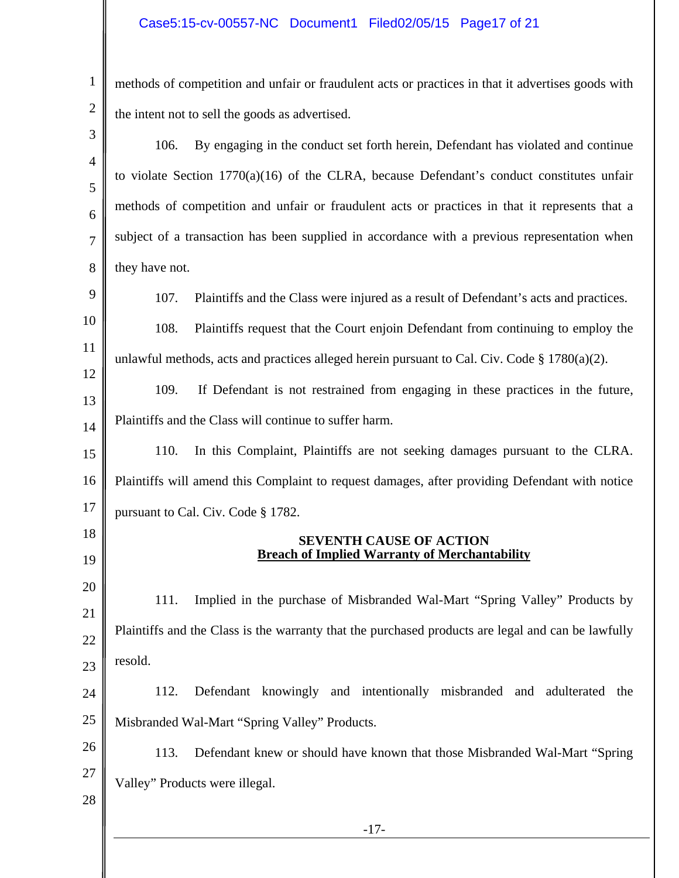#### Case5:15-cv-00557-NC Document1 Filed02/05/15 Page17 of 21

1

2 methods of competition and unfair or fraudulent acts or practices in that it advertises goods with the intent not to sell the goods as advertised.

-17- 3 4 5 6 7 8 9 10 11 12 13 14 15 16 17 18 19 20 21 22 23 24 25 26 27 28 106. By engaging in the conduct set forth herein, Defendant has violated and continue to violate Section 1770(a)(16) of the CLRA, because Defendant's conduct constitutes unfair methods of competition and unfair or fraudulent acts or practices in that it represents that a subject of a transaction has been supplied in accordance with a previous representation when they have not. 107. Plaintiffs and the Class were injured as a result of Defendant's acts and practices. 108. Plaintiffs request that the Court enjoin Defendant from continuing to employ the unlawful methods, acts and practices alleged herein pursuant to Cal. Civ. Code  $\S 1780(a)(2)$ . 109. If Defendant is not restrained from engaging in these practices in the future, Plaintiffs and the Class will continue to suffer harm. 110. In this Complaint, Plaintiffs are not seeking damages pursuant to the CLRA. Plaintiffs will amend this Complaint to request damages, after providing Defendant with notice pursuant to Cal. Civ. Code § 1782. **SEVENTH CAUSE OF ACTION Breach of Implied Warranty of Merchantability**  111. Implied in the purchase of Misbranded Wal-Mart "Spring Valley" Products by Plaintiffs and the Class is the warranty that the purchased products are legal and can be lawfully resold. 112. Defendant knowingly and intentionally misbranded and adulterated the Misbranded Wal-Mart "Spring Valley" Products. 113. Defendant knew or should have known that those Misbranded Wal-Mart "Spring Valley" Products were illegal.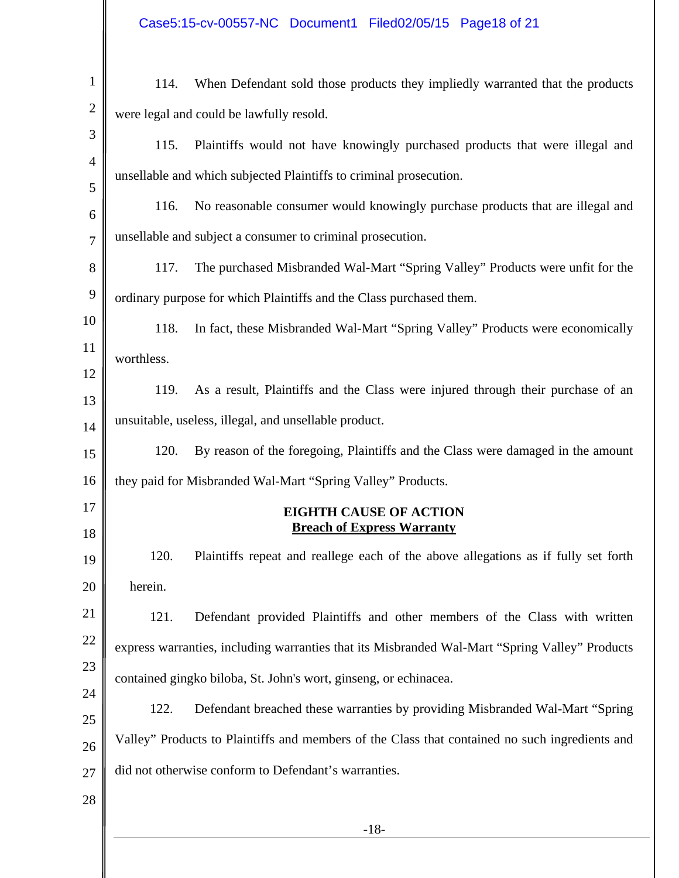| Case5:15-cv-00557-NC Document1 Filed02/05/15 Page18 of 21 |  |  |
|-----------------------------------------------------------|--|--|
|                                                           |  |  |

| $\mathbf{1}$   | When Defendant sold those products they impliedly warranted that the products<br>114.          |
|----------------|------------------------------------------------------------------------------------------------|
| $\overline{2}$ | were legal and could be lawfully resold.                                                       |
| 3              | Plaintiffs would not have knowingly purchased products that were illegal and<br>115.           |
| $\overline{4}$ | unsellable and which subjected Plaintiffs to criminal prosecution.                             |
| 5<br>6         | 116.<br>No reasonable consumer would knowingly purchase products that are illegal and          |
| $\overline{7}$ | unsellable and subject a consumer to criminal prosecution.                                     |
| 8              | The purchased Misbranded Wal-Mart "Spring Valley" Products were unfit for the<br>117.          |
| 9              | ordinary purpose for which Plaintiffs and the Class purchased them.                            |
| 10             | 118.<br>In fact, these Misbranded Wal-Mart "Spring Valley" Products were economically          |
| 11             | worthless.                                                                                     |
| 12             | As a result, Plaintiffs and the Class were injured through their purchase of an<br>119.        |
| 13             | unsuitable, useless, illegal, and unsellable product.                                          |
| 14<br>15       | By reason of the foregoing, Plaintiffs and the Class were damaged in the amount<br>120.        |
| 16             | they paid for Misbranded Wal-Mart "Spring Valley" Products.                                    |
| 17             | <b>EIGHTH CAUSE OF ACTION</b>                                                                  |
| 18             | <b>Breach of Express Warranty</b>                                                              |
| 19             | 120.<br>Plaintiffs repeat and reallege each of the above allegations as if fully set forth     |
| 20             | herein.                                                                                        |
| 21             | Defendant provided Plaintiffs and other members of the Class with written<br>121.              |
| 22             | express warranties, including warranties that its Misbranded Wal-Mart "Spring Valley" Products |
| 23             | contained gingko biloba, St. John's wort, ginseng, or echinacea.                               |
| 24<br>25       | 122.<br>Defendant breached these warranties by providing Misbranded Wal-Mart "Spring           |
| 26             | Valley" Products to Plaintiffs and members of the Class that contained no such ingredients and |
| 27             | did not otherwise conform to Defendant's warranties.                                           |
| 28             |                                                                                                |
|                | $-18-$                                                                                         |
|                |                                                                                                |
|                |                                                                                                |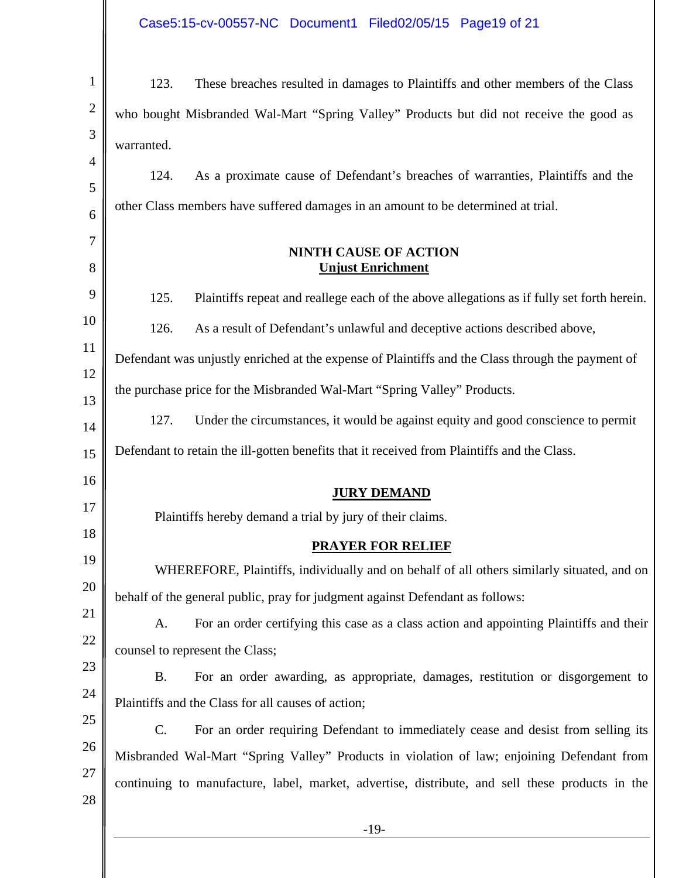| $\mathbf{1}$   | 123.<br>These breaches resulted in damages to Plaintiffs and other members of the Class            |  |  |
|----------------|----------------------------------------------------------------------------------------------------|--|--|
| $\mathbf{2}$   | who bought Misbranded Wal-Mart "Spring Valley" Products but did not receive the good as            |  |  |
| 3              | warranted.                                                                                         |  |  |
| $\overline{4}$ | 124.<br>As a proximate cause of Defendant's breaches of warranties, Plaintiffs and the             |  |  |
| 5              | other Class members have suffered damages in an amount to be determined at trial.                  |  |  |
| 6<br>7         |                                                                                                    |  |  |
| 8              | <b>NINTH CAUSE OF ACTION</b><br><b>Unjust Enrichment</b>                                           |  |  |
| 9              | 125.<br>Plaintiffs repeat and reallege each of the above allegations as if fully set forth herein. |  |  |
| 10             | 126.<br>As a result of Defendant's unlawful and deceptive actions described above,                 |  |  |
| 11             |                                                                                                    |  |  |
| 12             | Defendant was unjustly enriched at the expense of Plaintiffs and the Class through the payment of  |  |  |
| 13             | the purchase price for the Misbranded Wal-Mart "Spring Valley" Products.                           |  |  |
| 14             | 127.<br>Under the circumstances, it would be against equity and good conscience to permit          |  |  |
| 15             | Defendant to retain the ill-gotten benefits that it received from Plaintiffs and the Class.        |  |  |
| 16             | <b>JURY DEMAND</b>                                                                                 |  |  |
| 17             | Plaintiffs hereby demand a trial by jury of their claims.                                          |  |  |
| 18             | <b>PRAYER FOR RELIEF</b>                                                                           |  |  |
| 19             | WHEREFORE, Plaintiffs, individually and on behalf of all others similarly situated, and on         |  |  |
| 20             | behalf of the general public, pray for judgment against Defendant as follows:                      |  |  |
| 21             | For an order certifying this case as a class action and appointing Plaintiffs and their<br>A.      |  |  |
| 22             | counsel to represent the Class;                                                                    |  |  |
| 23             | <b>B.</b><br>For an order awarding, as appropriate, damages, restitution or disgorgement to        |  |  |
| 24             | Plaintiffs and the Class for all causes of action;                                                 |  |  |
| 25             | C.<br>For an order requiring Defendant to immediately cease and desist from selling its            |  |  |
| 26             | Misbranded Wal-Mart "Spring Valley" Products in violation of law; enjoining Defendant from         |  |  |
| 27             | continuing to manufacture, label, market, advertise, distribute, and sell these products in the    |  |  |
| 28             |                                                                                                    |  |  |
|                | $-19-$                                                                                             |  |  |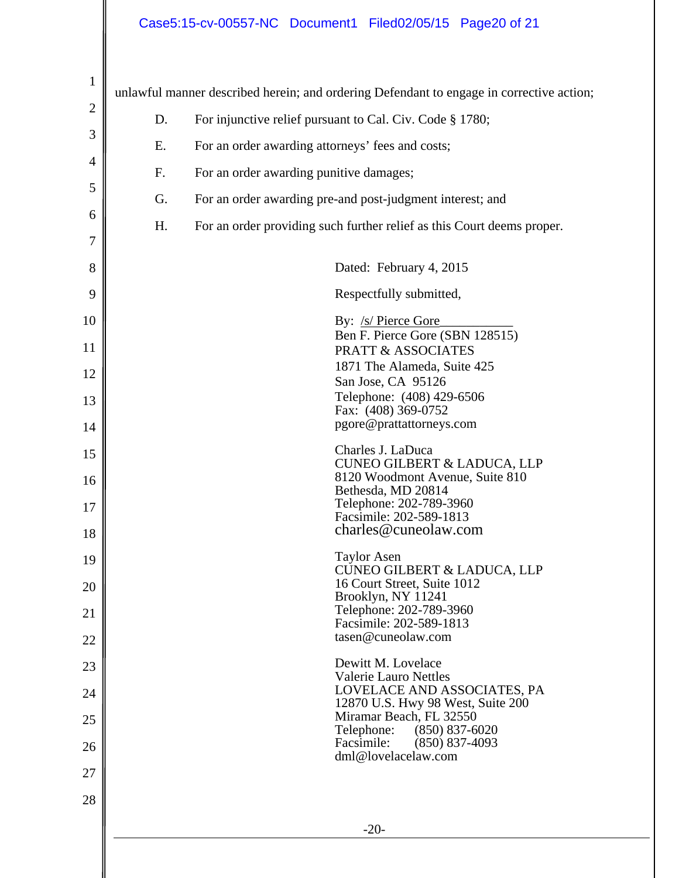# Case5:15-cv-00557-NC Document1 Filed02/05/15 Page20 of 21

| $\mathbf{1}$   |                                                                | unlawful manner described herein; and ordering Defendant to engage in corrective action; |  |  |
|----------------|----------------------------------------------------------------|------------------------------------------------------------------------------------------|--|--|
| $\mathbf{2}$   | For injunctive relief pursuant to Cal. Civ. Code § 1780;<br>D. |                                                                                          |  |  |
| 3              | For an order awarding attorneys' fees and costs;<br>Ε.         |                                                                                          |  |  |
| $\overline{4}$ | F.                                                             | For an order awarding punitive damages;                                                  |  |  |
| 5              | G.                                                             | For an order awarding pre-and post-judgment interest; and                                |  |  |
| 6              | H.                                                             | For an order providing such further relief as this Court deems proper.                   |  |  |
| $\overline{7}$ |                                                                |                                                                                          |  |  |
| 8              |                                                                | Dated: February 4, 2015                                                                  |  |  |
| 9              |                                                                | Respectfully submitted,                                                                  |  |  |
| 10             |                                                                | By: /s/ Pierce Gore<br>Ben F. Pierce Gore (SBN 128515)                                   |  |  |
| 11             |                                                                | <b>PRATT &amp; ASSOCIATES</b>                                                            |  |  |
| 12             |                                                                | 1871 The Alameda, Suite 425<br>San Jose, CA 95126                                        |  |  |
| 13             |                                                                | Telephone: (408) 429-6506<br>Fax: (408) 369-0752                                         |  |  |
| 14             |                                                                | pgore@prattattorneys.com                                                                 |  |  |
| 15             |                                                                | Charles J. LaDuca<br><b>CUNEO GILBERT &amp; LADUCA, LLP</b>                              |  |  |
| 16             |                                                                | 8120 Woodmont Avenue, Suite 810<br>Bethesda, MD 20814                                    |  |  |
| 17             |                                                                | Telephone: 202-789-3960<br>Facsimile: 202-589-1813                                       |  |  |
| 18             |                                                                | charles@cuneolaw.com                                                                     |  |  |
| 19             |                                                                | <b>Taylor Asen</b><br><b>CUNEO GILBERT &amp; LADUCA, LLP</b>                             |  |  |
| 20             |                                                                | 16 Court Street, Suite 1012<br>Brooklyn, NY 11241                                        |  |  |
| 21             |                                                                | Telephone: 202-789-3960<br>Facsimile: 202-589-1813                                       |  |  |
| 22             |                                                                | tasen@cuneolaw.com                                                                       |  |  |
| 23             |                                                                | Dewitt M. Lovelace<br>Valerie Lauro Nettles                                              |  |  |
| 24             |                                                                | LOVELACE AND ASSOCIATES, PA<br>12870 U.S. Hwy 98 West, Suite 200                         |  |  |
| 25             |                                                                | Miramar Beach, FL 32550<br>Telephone:<br>$(850) 837 - 6020$                              |  |  |
| 26             |                                                                | Facsimile:<br>$(850)$ 837-4093<br>dml@lovelacelaw.com                                    |  |  |
| 27             |                                                                |                                                                                          |  |  |
| 28             |                                                                |                                                                                          |  |  |
|                |                                                                | $-20-$                                                                                   |  |  |
|                |                                                                |                                                                                          |  |  |